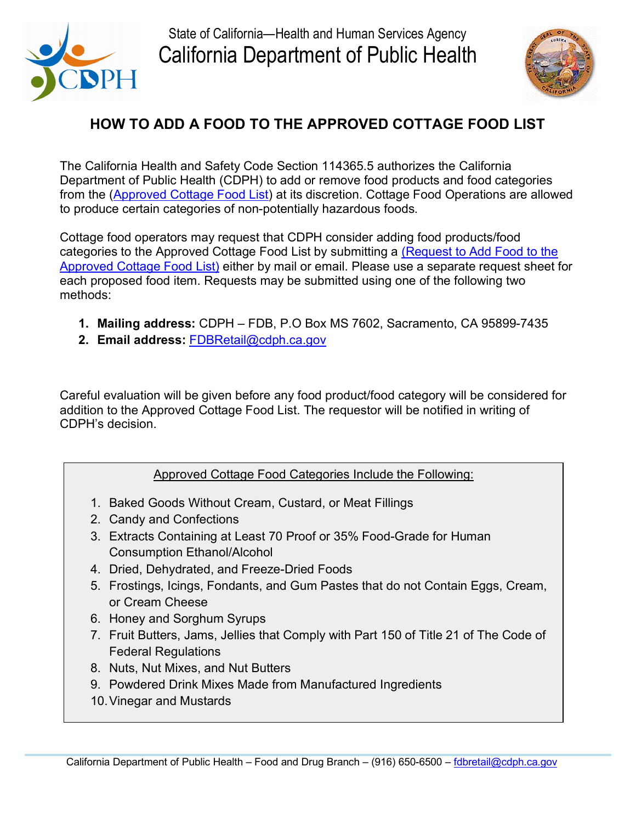

State of California—Health and Human Services Agency California Department of Public Health



## **HOW TO ADD A FOOD TO THE APPROVED COTTAGE FOOD LIST**

from the (<u>Approved Cottage Food List</u>) at its discretion. Cottage Food Operations are allowed to produce certain categories of non-potentially hazardous foods. The California Health and Safety Code Section 114365.5 authorizes the California Department of Public Health (CDPH) to add or remove food products and food categories

 [Approved Cottage Food List\)](https://www.cdph.ca.gov/CDPH%20Document%20Library/ControlledForms/cdph8764.pdf) either by mail or email. Please use a separate request sheet for each proposed food item. Requests may be submitted using one of the following two Cottage food operators may request that CDPH consider adding food products/food categories to the Approved Cottage Food List by submitting a [\(Request to Add Food to the](https://www.cdph.ca.gov/CDPH%20Document%20Library/ControlledForms/cdph8764.pdf)  methods:

- **1. Mailing address:** CDPH FDB, P.O Box MS 7602, Sacramento, CA 95899-7435
- 2. Email address: FDBRetail@cdph.ca.gov

 addition to the Approved Cottage Food List. The requestor will be notified in writing of Careful evaluation will be given before any food product/food category will be considered for CDPH's decision.

## Approved Cottage Food Categories Include the Following:

- 1. Baked Goods Without Cream, Custard, or Meat Fillings
- 2. Candy and Confections
- 3. Extracts Containing at Least 70 Proof or 35% Food-Grade for Human Consumption Ethanol/Alcohol
- 4. Dried, Dehydrated, and Freeze-Dried Foods
- 5. Frostings, Icings, Fondants, and Gum Pastes that do not Contain Eggs, Cream, or Cream Cheese
- 6. Honey and Sorghum Syrups
- 7. Fruit Butters, Jams, Jellies that Comply with Part 150 of Title 21 of The Code of Federal Regulations
- 8. Nuts, Nut Mixes, and Nut Butters
- 9. Powdered Drink Mixes Made from Manufactured Ingredients
- 10.Vinegar and Mustards